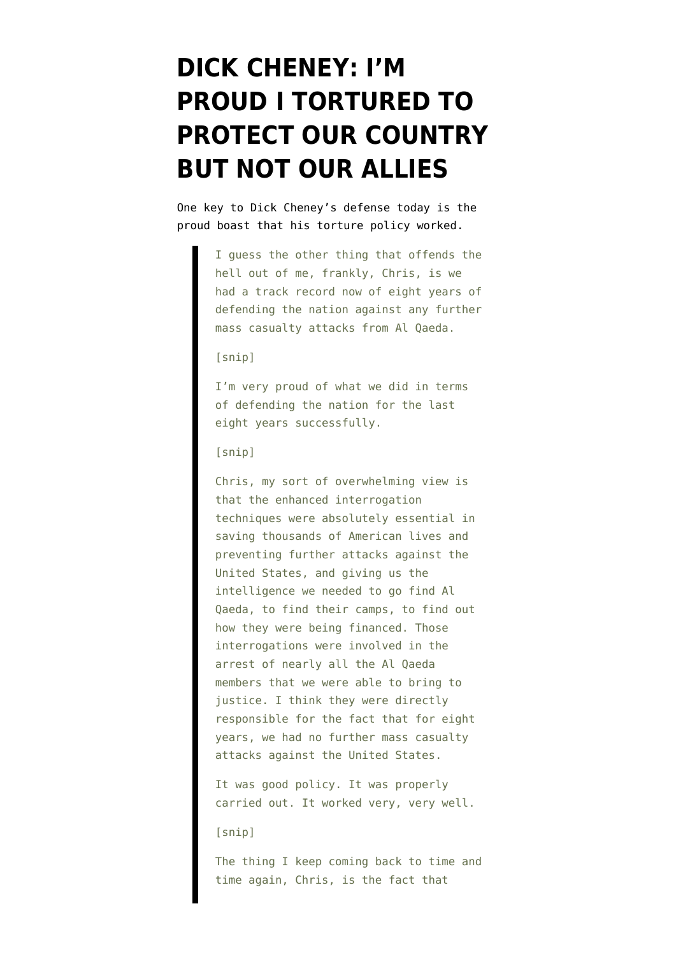## **[DICK CHENEY: I'M](https://www.emptywheel.net/2009/08/30/dick-cheney-im-proud-i-tortured-to-protect-our-country-but-not-our-allies/) [PROUD I TORTURED TO](https://www.emptywheel.net/2009/08/30/dick-cheney-im-proud-i-tortured-to-protect-our-country-but-not-our-allies/) [PROTECT OUR COUNTRY](https://www.emptywheel.net/2009/08/30/dick-cheney-im-proud-i-tortured-to-protect-our-country-but-not-our-allies/) [BUT NOT OUR ALLIES](https://www.emptywheel.net/2009/08/30/dick-cheney-im-proud-i-tortured-to-protect-our-country-but-not-our-allies/)**

One key to Dick Cheney's [defense](http://www.foxnews.com/politics/2009/08/30/raw-data-transcript-cheney-fox-news-sunday/) today is the proud boast that his torture policy worked.

> I guess the other thing that offends the hell out of me, frankly, Chris, is we had a track record now of eight years of defending the nation against any further mass casualty attacks from Al Qaeda.

## [snip]

I'm very proud of what we did in terms of defending the nation for the last eight years successfully.

## [snip]

Chris, my sort of overwhelming view is that the enhanced interrogation techniques were absolutely essential in saving thousands of American lives and preventing further attacks against the United States, and giving us the intelligence we needed to go find Al Qaeda, to find their camps, to find out how they were being financed. Those interrogations were involved in the arrest of nearly all the Al Qaeda members that we were able to bring to justice. I think they were directly responsible for the fact that for eight years, we had no further mass casualty attacks against the United States.

It was good policy. It was properly carried out. It worked very, very well.

## [snip]

The thing I keep coming back to time and time again, Chris, is the fact that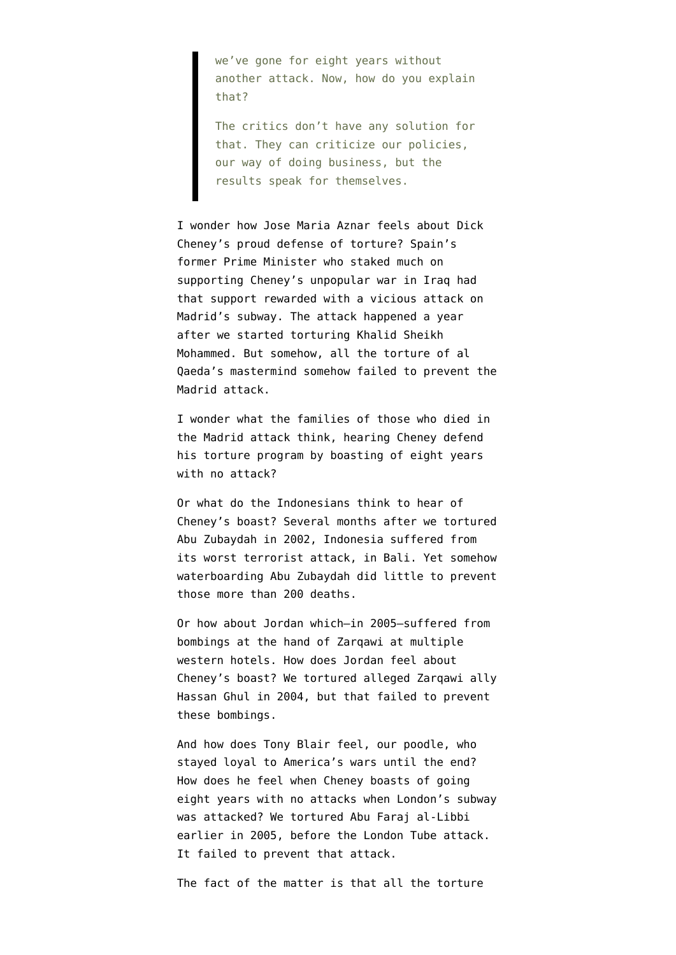we've gone for eight years without another attack. Now, how do you explain that?

The critics don't have any solution for that. They can criticize our policies, our way of doing business, but the results speak for themselves.

I wonder how Jose Maria Aznar feels about Dick Cheney's proud defense of torture? Spain's former Prime Minister who staked much on supporting Cheney's unpopular war in Iraq had that support rewarded with a vicious attack on Madrid's subway. The attack happened a year after we started torturing Khalid Sheikh Mohammed. But somehow, all the torture of al Qaeda's mastermind somehow failed to prevent the Madrid attack.

I wonder what the families of those who died in the Madrid attack think, hearing Cheney defend his torture program by boasting of eight years with no attack?

Or what do the Indonesians think to hear of Cheney's boast? Several months after we tortured Abu Zubaydah in 2002, Indonesia suffered from its worst terrorist attack, in Bali. Yet somehow waterboarding Abu Zubaydah did little to prevent those more than 200 deaths.

Or how about Jordan which–in 2005–suffered from bombings at the hand of Zarqawi at multiple western hotels. How does Jordan feel about Cheney's boast? We tortured alleged Zarqawi ally Hassan Ghul in 2004, but that failed to prevent these bombings.

And how does Tony Blair feel, our poodle, who stayed loyal to America's wars until the end? How does he feel when Cheney boasts of going eight years with no attacks when London's subway was attacked? We tortured Abu Faraj al-Libbi earlier in 2005, before the London Tube attack. It failed to prevent that attack.

The fact of the matter is that all the torture